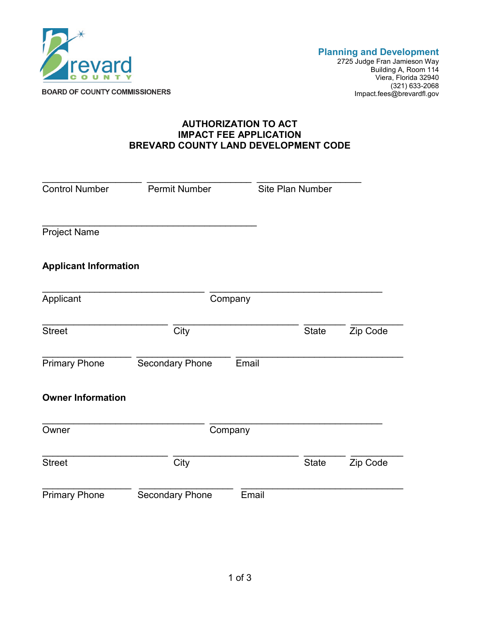

2725 Judge Fran Jamieson Way Building A, Room 114 Viera, Florida 32940 (321) 633-2068 Impact.fees@brevardfl.gov

## **AUTHORIZATION TO ACT IMPACT FEE APPLICATION BREVARD COUNTY LAND DEVELOPMENT CODE**

| <b>Control Number</b>        | <b>Permit Number</b>   |       | Site Plan Number |          |
|------------------------------|------------------------|-------|------------------|----------|
| <b>Project Name</b>          |                        |       |                  |          |
| <b>Applicant Information</b> |                        |       |                  |          |
| Applicant                    | Company                |       |                  |          |
| <b>Street</b>                | City                   |       | <b>State</b>     | Zip Code |
| <b>Primary Phone</b>         | <b>Secondary Phone</b> | Email |                  |          |
| <b>Owner Information</b>     |                        |       |                  |          |
| Owner                        | Company                |       |                  |          |
| <b>Street</b>                | City                   |       | <b>State</b>     | Zip Code |
| <b>Primary Phone</b>         | <b>Secondary Phone</b> | Email |                  |          |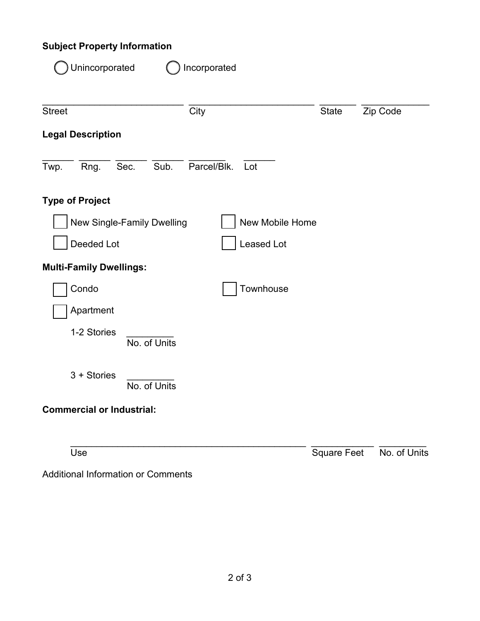## **Subject Property Information**

| Unincorporated                   | Incorporated       |                    |              |
|----------------------------------|--------------------|--------------------|--------------|
| <b>Street</b>                    | City               | <b>State</b>       | Zip Code     |
| <b>Legal Description</b>         |                    |                    |              |
| Sec.<br>Sub.<br>Twp.<br>Rng.     | Parcel/Blk.<br>Lot |                    |              |
| <b>Type of Project</b>           |                    |                    |              |
| New Single-Family Dwelling       | New Mobile Home    |                    |              |
| Deeded Lot                       | <b>Leased Lot</b>  |                    |              |
| <b>Multi-Family Dwellings:</b>   |                    |                    |              |
| Condo                            | Townhouse          |                    |              |
| Apartment                        |                    |                    |              |
| 1-2 Stories<br>No. of Units      |                    |                    |              |
| $3 +$ Stories<br>No. of Units    |                    |                    |              |
| <b>Commercial or Industrial:</b> |                    |                    |              |
| Use                              |                    | <b>Square Feet</b> | No. of Units |

Additional Information or Comments